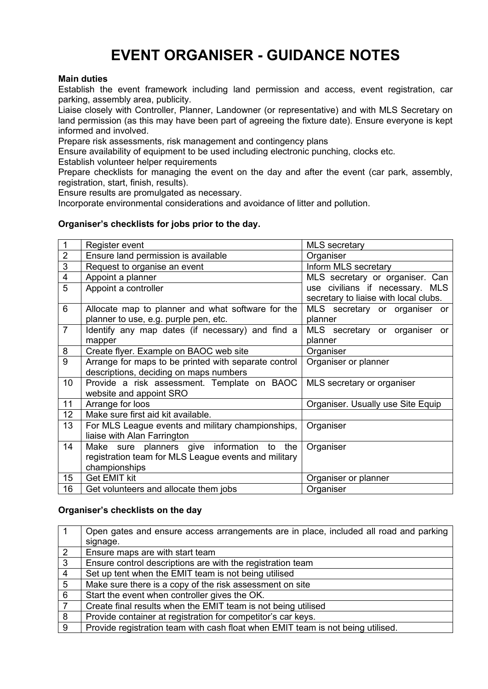# **EVENT ORGANISER - GUIDANCE NOTES**

# **Main duties**

Establish the event framework including land permission and access, event registration, car parking, assembly area, publicity.

Liaise closely with Controller, Planner, Landowner (or representative) and with MLS Secretary on land permission (as this may have been part of agreeing the fixture date). Ensure everyone is kept informed and involved.

Prepare risk assessments, risk management and contingency plans

Ensure availability of equipment to be used including electronic punching, clocks etc.

Establish volunteer helper requirements

Prepare checklists for managing the event on the day and after the event (car park, assembly, registration, start, finish, results).

Ensure results are promulgated as necessary.

Incorporate environmental considerations and avoidance of litter and pollution.

# **Organiser's checklists for jobs prior to the day.**

| $\mathbf{1}$    | Register event                                       | <b>MLS</b> secretary                  |
|-----------------|------------------------------------------------------|---------------------------------------|
| $\overline{2}$  | Ensure land permission is available                  | Organiser                             |
| $\overline{3}$  | Request to organise an event                         | Inform MLS secretary                  |
| 4               | Appoint a planner                                    | MLS secretary or organiser. Can       |
| $\overline{5}$  | Appoint a controller                                 | use civilians if necessary. MLS       |
|                 |                                                      | secretary to liaise with local clubs. |
| 6               | Allocate map to planner and what software for the    | MLS secretary or organiser or         |
|                 | planner to use, e.g. purple pen, etc.                | planner                               |
| $\overline{7}$  | Identify any map dates (if necessary) and find a     | MLS secretary or organiser<br>or      |
|                 | mapper                                               | planner                               |
| 8               | Create flyer. Example on BAOC web site               | Organiser                             |
| 9               | Arrange for maps to be printed with separate control | Organiser or planner                  |
|                 | descriptions, deciding on maps numbers               |                                       |
| 10              | Provide a risk assessment. Template on BAOC          | MLS secretary or organiser            |
|                 | website and appoint SRO                              |                                       |
| 11              | Arrange for loos                                     | Organiser. Usually use Site Equip     |
| 12 <sup>2</sup> | Make sure first aid kit available.                   |                                       |
| 13              | For MLS League events and military championships,    | Organiser                             |
|                 | liaise with Alan Farrington                          |                                       |
| 14              | Make sure planners give information to the           | Organiser                             |
|                 | registration team for MLS League events and military |                                       |
|                 | championships                                        |                                       |
| 15              | <b>Get EMIT kit</b>                                  | Organiser or planner                  |
| 16              | Get volunteers and allocate them jobs                | Organiser                             |

#### **Organiser's checklists on the day**

|                | Open gates and ensure access arrangements are in place, included all road and parking |
|----------------|---------------------------------------------------------------------------------------|
|                | signage.                                                                              |
| $\overline{2}$ | Ensure maps are with start team                                                       |
| $\mathbf{3}$   | Ensure control descriptions are with the registration team                            |
| $\overline{4}$ | Set up tent when the EMIT team is not being utilised                                  |
| 5 <sub>5</sub> | Make sure there is a copy of the risk assessment on site                              |
| 6              | Start the event when controller gives the OK.                                         |
|                | Create final results when the EMIT team is not being utilised                         |
| 8              | Provide container at registration for competitor's car keys.                          |
| 9              | Provide registration team with cash float when EMIT team is not being utilised.       |